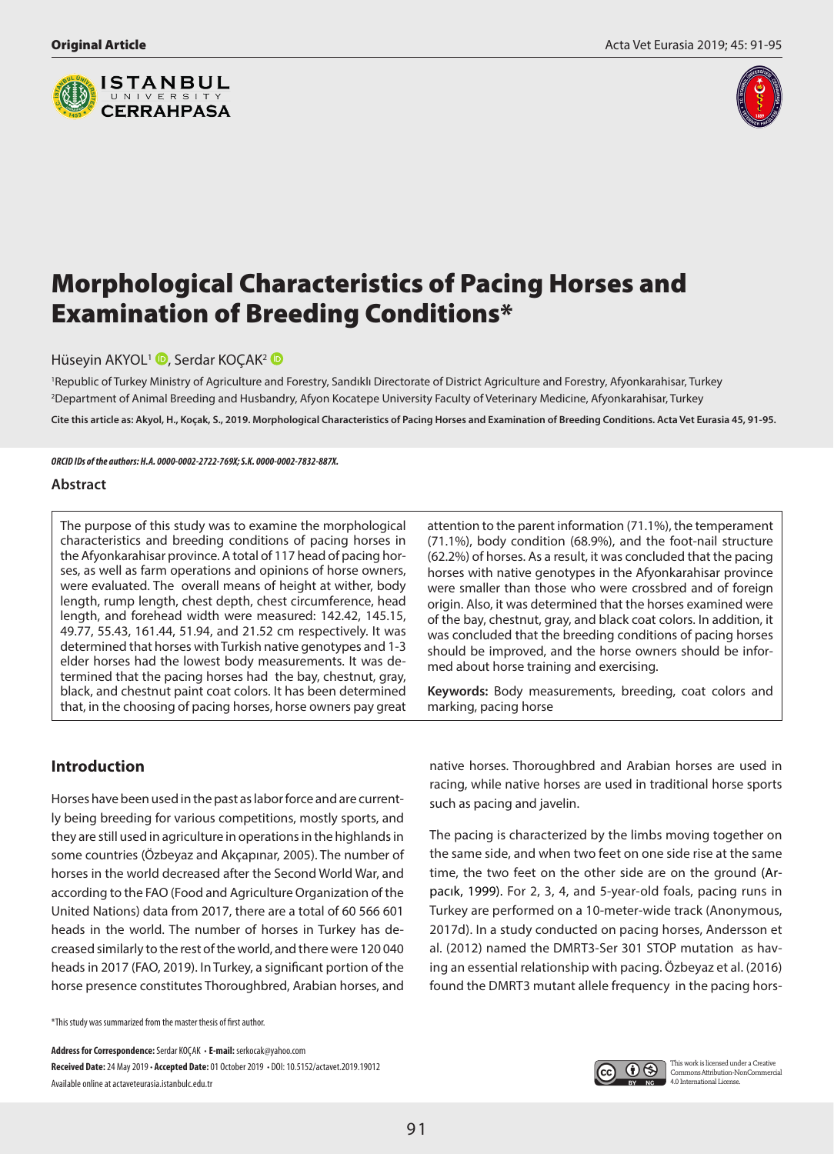



# Morphological Characteristics of Pacing Horses and Examination of Breeding Conditions\*

Hüseyin AKYOL<sup>1</sup> D[,](http://orcid.org/0000-0002-2722-769X) Serdar KOCAK<sup>[2](http://orcid.org/0000-0002-7832-887X)</sup> D

1 Republic of Turkey Ministry of Agriculture and Forestry, Sandıklı Directorate of District Agriculture and Forestry, Afyonkarahisar, Turkey 2 Department of Animal Breeding and Husbandry, Afyon Kocatepe University Faculty of Veterinary Medicine, Afyonkarahisar, Turkey

**Cite this article as: Akyol, H., Koçak, S., 2019. Morphological Characteristics of Pacing Horses and Examination of Breeding Conditions. Acta Vet Eurasia 45, 91-95.**

*ORCID IDs of the authors: H.A. 0000-0002-2722-769X; S.K. 0000-0002-7832-887X.*

#### **Abstract**

The purpose of this study was to examine the morphological characteristics and breeding conditions of pacing horses in the Afyonkarahisar province. A total of 117 head of pacing horses, as well as farm operations and opinions of horse owners, were evaluated. The overall means of height at wither, body length, rump length, chest depth, chest circumference, head length, and forehead width were measured: 142.42, 145.15, 49.77, 55.43, 161.44, 51.94, and 21.52 cm respectively. It was determined that horses with Turkish native genotypes and 1-3 elder horses had the lowest body measurements. It was determined that the pacing horses had the bay, chestnut, gray, black, and chestnut paint coat colors. It has been determined that, in the choosing of pacing horses, horse owners pay great

attention to the parent information (71.1%), the temperament (71.1%), body condition (68.9%), and the foot-nail structure (62.2%) of horses. As a result, it was concluded that the pacing horses with native genotypes in the Afyonkarahisar province were smaller than those who were crossbred and of foreign origin. Also, it was determined that the horses examined were of the bay, chestnut, gray, and black coat colors. In addition, it was concluded that the breeding conditions of pacing horses should be improved, and the horse owners should be informed about horse training and exercising.

**Keywords:** Body measurements, breeding, coat colors and marking, pacing horse

## **Introduction**

Horses have been used in the past as labor force and are currently being breeding for various competitions, mostly sports, and they are still used in agriculture in operations in the highlands in some countries (Özbeyaz and Akçapınar, 2005). The number of horses in the world decreased after the Second World War, and according to the FAO (Food and Agriculture Organization of the United Nations) data from 2017, there are a total of 60 566 601 heads in the world. The number of horses in Turkey has decreased similarly to the rest of the world, and there were 120 040 heads in 2017 (FAO, 2019). In Turkey, a significant portion of the horse presence constitutes Thoroughbred, Arabian horses, and

\*This study was summarized from the master thesis of first author.

**Address for Correspondence:** Serdar KOÇAK • **E-mail:** serkocak@yahoo.com **Received Date: 24 May 2019 • Accepted Date: 01 October 2019 • DOI: 10.5152/actavet.2019.19012** Available online at actaveteurasia.istanbulc.edu.tr

native horses. Thoroughbred and Arabian horses are used in racing, while native horses are used in traditional horse sports such as pacing and javelin.

The pacing is characterized by the limbs moving together on the same side, and when two feet on one side rise at the same time, the two feet on the other side are on the ground (Arpacık, 1999). For 2, 3, 4, and 5-year-old foals, pacing runs in Turkey are performed on a 10-meter-wide track (Anonymous, 2017d). In a study conducted on pacing horses, Andersson et al. (2012) named the DMRT3-Ser 301 STOP mutation as having an essential relationship with pacing. Özbeyaz et al. (2016) found the DMRT3 mutant allele frequency in the pacing hors-

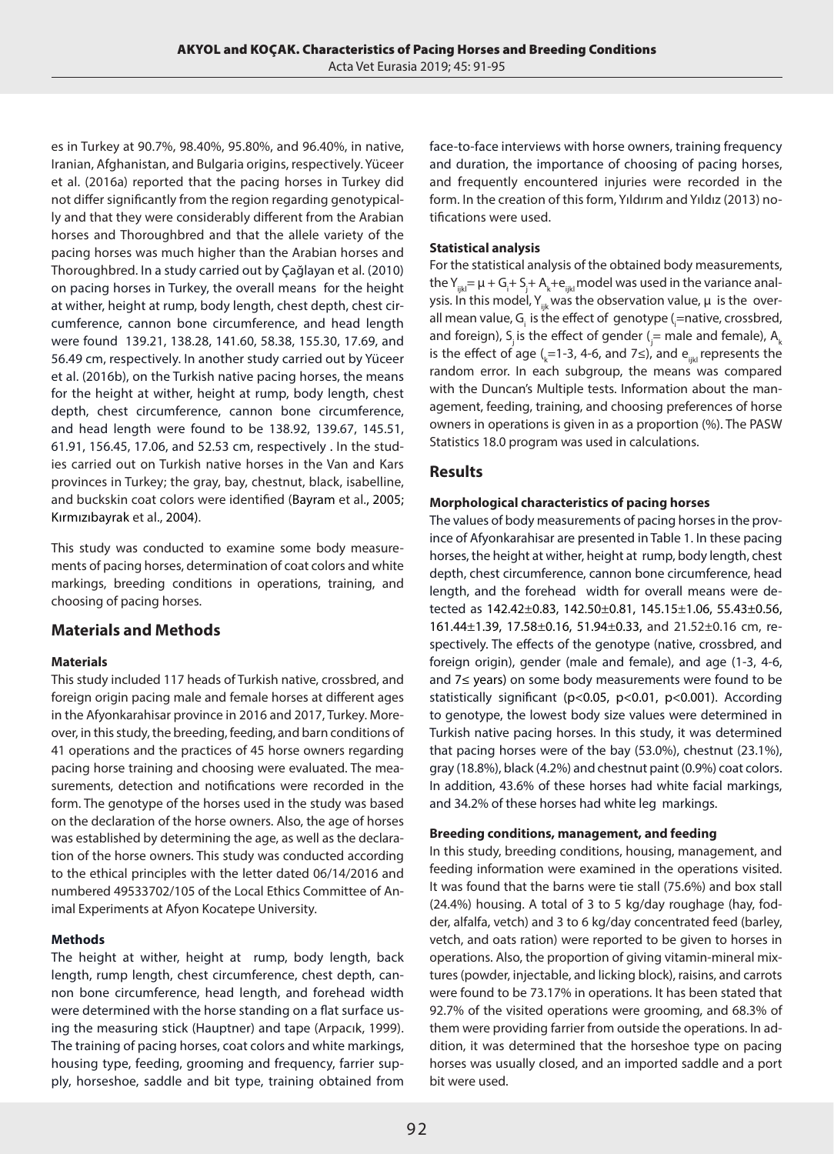es in Turkey at 90.7%, 98.40%, 95.80%, and 96.40%, in native, Iranian, Afghanistan, and Bulgaria origins, respectively. Yüceer et al. (2016a) reported that the pacing horses in Turkey did not differ significantly from the region regarding genotypically and that they were considerably different from the Arabian horses and Thoroughbred and that the allele variety of the pacing horses was much higher than the Arabian horses and Thoroughbred. In a study carried out by Çağlayan et al. (2010) on pacing horses in Turkey, the overall means for the height at wither, height at rump, body length, chest depth, chest circumference, cannon bone circumference, and head length were found 139.21, 138.28, 141.60, 58.38, 155.30, 17.69, and 56.49 cm, respectively. In another study carried out by Yüceer et al. (2016b), on the Turkish native pacing horses, the means for the height at wither, height at rump, body length, chest depth, chest circumference, cannon bone circumference, and head length were found to be 138.92, 139.67, 145.51, 61.91, 156.45, 17.06, and 52.53 cm, respectively . In the studies carried out on Turkish native horses in the Van and Kars provinces in Turkey; the gray, bay, chestnut, black, isabelline, and buckskin coat colors were identified (Bayram et al., 2005; Kırmızıbayrak et al., 2004).

This study was conducted to examine some body measurements of pacing horses, determination of coat colors and white markings, breeding conditions in operations, training, and choosing of pacing horses.

## **Materials and Methods**

#### **Materials**

This study included 117 heads of Turkish native, crossbred, and foreign origin pacing male and female horses at different ages in the Afyonkarahisar province in 2016 and 2017, Turkey. Moreover, in this study, the breeding, feeding, and barn conditions of 41 operations and the practices of 45 horse owners regarding pacing horse training and choosing were evaluated. The measurements, detection and notifications were recorded in the form. The genotype of the horses used in the study was based on the declaration of the horse owners. Also, the age of horses was established by determining the age, as well as the declaration of the horse owners. This study was conducted according to the ethical principles with the letter dated 06/14/2016 and numbered 49533702/105 of the Local Ethics Committee of Animal Experiments at Afyon Kocatepe University.

#### **Methods**

The height at wither, height at rump, body length, back length, rump length, chest circumference, chest depth, cannon bone circumference, head length, and forehead width were determined with the horse standing on a flat surface using the measuring stick (Hauptner) and tape (Arpacık, 1999). The training of pacing horses, coat colors and white markings, housing type, feeding, grooming and frequency, farrier supply, horseshoe, saddle and bit type, training obtained from face-to-face interviews with horse owners, training frequency and duration, the importance of choosing of pacing horses, and frequently encountered injuries were recorded in the form. In the creation of this form, Yıldırım and Yıldız (2013) notifications were used.

### **Statistical analysis**

For the statistical analysis of the obtained body measurements, the Y $_{\sf ijkl}$ =  $\upmu$  + G $_{\sf i}$ + S $_{\sf j}$ + A $_{\sf k}$ +e $_{\sf ijkl}$  model was used in the variance analysis. In this model, Y<sub>iik</sub> was the observation value,  $\mu$  is the overall mean value, G<sub>i</sub> is the effect of genotype (<sub>i</sub>=native, crossbred, and foreign), S<sub>j</sub> is the effect of gender ( $\frac{1}{j}$  = male and female), A<sub>k</sub> is the effect of age ( $_{\rm k}$ =1-3, 4-6, and 7≤), and e $_{\rm ijkl}$  represents the random error. In each subgroup, the means was compared with the Duncan's Multiple tests. Information about the management, feeding, training, and choosing preferences of horse owners in operations is given in as a proportion (%). The PASW Statistics 18.0 program was used in calculations.

## **Results**

#### **Morphological characteristics of pacing horses**

The values of body measurements of pacing horses in the province of Afyonkarahisar are presented in Table 1. In these pacing horses, the height at wither, height at rump, body length, chest depth, chest circumference, cannon bone circumference, head length, and the forehead width for overall means were detected as 142.42±0.83, 142.50±0.81, 145.15±1.06, 55.43±0.56, 161.44±1.39, 17.58±0.16, 51.94±0.33, and 21.52±0.16 cm, respectively. The effects of the genotype (native, crossbred, and foreign origin), gender (male and female), and age (1-3, 4-6, and 7≤ years) on some body measurements were found to be statistically significant (p<0.05, p<0.01, p<0.001). According to genotype, the lowest body size values were determined in Turkish native pacing horses. In this study, it was determined that pacing horses were of the bay (53.0%), chestnut (23.1%), gray (18.8%), black (4.2%) and chestnut paint (0.9%) coat colors. In addition, 43.6% of these horses had white facial markings, and 34.2% of these horses had white leg markings.

#### **Breeding conditions, management, and feeding**

In this study, breeding conditions, housing, management, and feeding information were examined in the operations visited. It was found that the barns were tie stall (75.6%) and box stall (24.4%) housing. A total of 3 to 5 kg/day roughage (hay, fodder, alfalfa, vetch) and 3 to 6 kg/day concentrated feed (barley, vetch, and oats ration) were reported to be given to horses in operations. Also, the proportion of giving vitamin-mineral mixtures (powder, injectable, and licking block), raisins, and carrots were found to be 73.17% in operations. It has been stated that 92.7% of the visited operations were grooming, and 68.3% of them were providing farrier from outside the operations. In addition, it was determined that the horseshoe type on pacing horses was usually closed, and an imported saddle and a port bit were used.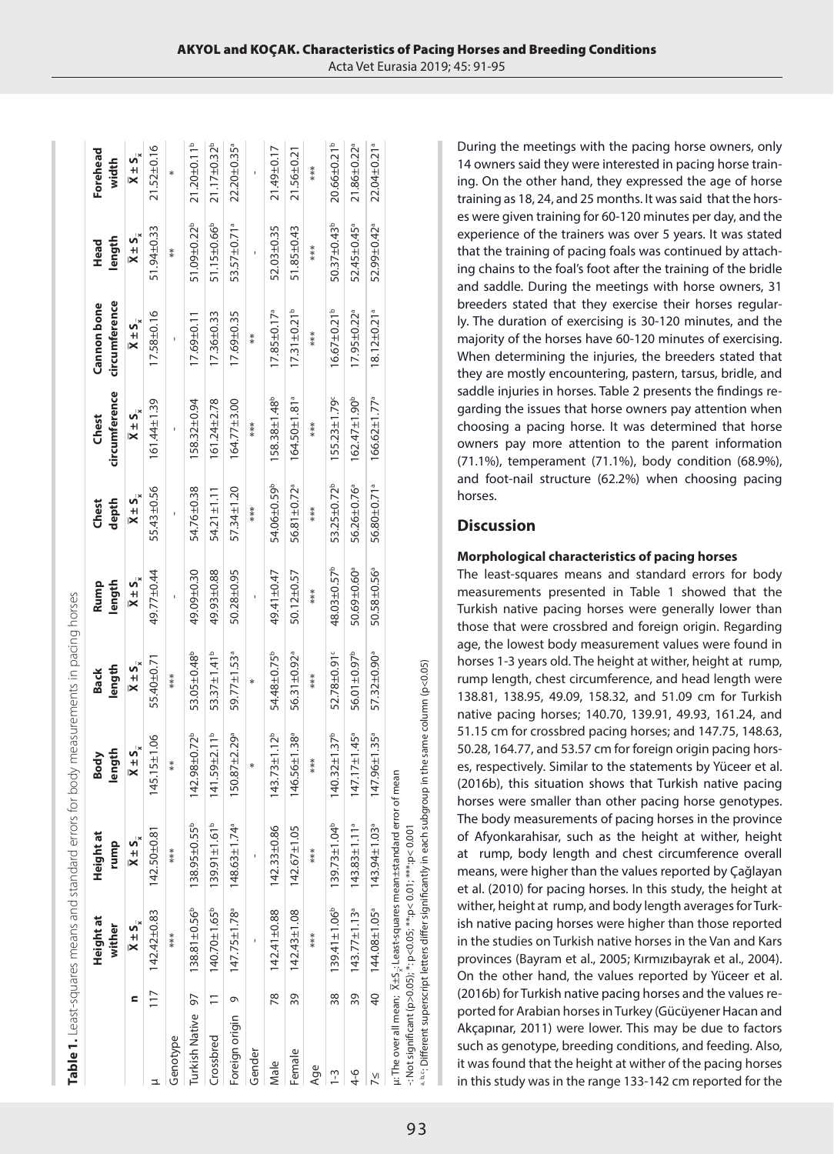|                          |                |                                     | Table 1. Least-squares means and standard errors for body measurements in pacing horses |                                     |                                     |                                     |                                     |                                     |                                     |                                     |                                     |
|--------------------------|----------------|-------------------------------------|-----------------------------------------------------------------------------------------|-------------------------------------|-------------------------------------|-------------------------------------|-------------------------------------|-------------------------------------|-------------------------------------|-------------------------------------|-------------------------------------|
|                          |                | Height at<br>wither                 | <b>Height at</b><br>rump                                                                | length<br>Body                      | length<br><b>Back</b>               | length<br>Rump                      | depth<br>Chest                      | circumference<br>Chest              | circumference<br>Cannon bone        | length<br>Head                      | Forehead<br>width                   |
|                          |                | $\overline{X} \pm S_{\overline{w}}$ | $\overline{X} \pm S_{\overline{x}}$                                                     | $\overline{X} \pm S_{\overline{x}}$ | $\overline{X} \pm S_{\overline{x}}$ | $\overline{X} \pm S_{\overline{x}}$ | $\overline{X} \pm S_{\overline{x}}$ | $\overline{X} \pm S_{\overline{x}}$ | $\overline{X} \pm S_{\overline{x}}$ | $\overline{X} \pm S_{\overline{x}}$ | $\overline{X} \pm S_{\overline{x}}$ |
|                          | $\frac{1}{2}$  | $142.42 \pm 0.83$                   | $142.50 \pm 0.81$                                                                       | $145.15 \pm 1.06$                   | 55.40±0.71                          | 49.77±0.44                          | 55.43±0.56                          | 161.44±1.39                         | 17.58±0.16                          | 51.94±0.33                          | $21.52 \pm 0.16$                    |
| Genotype                 |                | ***                                 | ***                                                                                     | $***$                               | $***$                               |                                     |                                     |                                     |                                     | $**$                                | $\ast$                              |
| <b>Turkish Native 97</b> |                | $138.81 \pm 0.56^b$                 | 138.95±0.55 <sup>b</sup>                                                                | $142.98 \pm 0.72^b$                 | 53.05±0.48 <sup>b</sup>             | 49.09±0.30                          | 54.76±0.38                          | 158.32±0.94                         | $17.69 \pm 0.11$                    | 51.09±0.22 <sup>b</sup>             | $21.20 \pm 0.11^b$                  |
| Crossbred                | $\overline{1}$ | $140.70 \pm 1.65^b$                 | $139.91 \pm 1.61^b$                                                                     | $141.59 \pm 2.11^b$                 | 53.37±1.41 <sup>b</sup>             | 49.93±0.88                          | $54.21 \pm 1.11$                    | $61.24 \pm 2.78$                    | $17.36 \pm 0.33$                    | 51.15±0.66 <sup>b</sup>             | 21.17±0.32b                         |
| Foreign origin 9         |                | $147.75 \pm 1.78$ <sup>a</sup>      | $148.63 \pm 1.74$ <sup>a</sup>                                                          | $150.87 \pm 2.29$ <sup>a</sup>      | 59.77±1.53ª                         | 50.28±0.95                          | 57.34±1.20                          | 164.77±3.00                         | $17.69 \pm 0.35$                    | 53.57±0.71ª                         | 22.20±0.35 <sup>ª</sup>             |
| Gender                   |                |                                     |                                                                                         | *                                   | *                                   |                                     | ***                                 | ***                                 | $**$                                |                                     |                                     |
| Male                     | R<br>K         | $142.41 \pm 0.88$                   | $142.33 \pm 0.86$                                                                       | $143.73 \pm 1.12^b$                 | 54.48±0.75 <sup>b</sup>             | 49.41±0.47                          | 54.06±0.59 <sup>b</sup>             | 158.38±1.48 <sup>b</sup>            | $17.85 \pm 0.17$ <sup>a</sup>       | 52.03±0.35                          | 21.49±0.17                          |
| Female                   | 39             | $142.43 \pm 1.08$                   | $142.67 \pm 1.05$                                                                       | 146.56±1.38ª                        | 56.31±0.92 <sup>ª</sup>             | 50.12±0.57                          | 56.81±0.72 <sup>ª</sup>             | $164.50 \pm 1.81$ <sup>a</sup>      | $17.31 \pm 0.21^b$                  | $51.85 \pm 0.43$                    | $21.56 \pm 0.21$                    |
| Age                      |                | ***                                 | ***                                                                                     | ***                                 | ***                                 | ***                                 | ***                                 | ***                                 | ***                                 | ***                                 | ***                                 |
| $\frac{1}{2}$            | 38             | $139.41 \pm 1.06^b$                 | $139.73 \pm 1.04^b$                                                                     | $140.32 \pm 1.37^b$                 | 52.78±0.91°                         | 48.03±0.57 <sup>b</sup>             | 53.25±0.72 <sup>b</sup>             | $155.23 \pm 1.79$                   | $16.67 \pm 0.21^b$                  | $50.37 \pm 0.43^b$                  | 20.66±0.21 <sup>b</sup>             |
| $4 - 6$                  |                | 39 $143.77 \pm 1.13$ <sup>a</sup>   | $143.83 \pm 1.11$ <sup>a</sup>                                                          | $147.17 \pm 1.45$ <sup>a</sup>      | 56.01±0.97 <sup>b</sup>             | 50.69±0.60 <sup>ª</sup>             | 56.26±0.76 <sup>ª</sup>             | $162.47 \pm 1.90^b$                 | $17.95 \pm 0.22$ <sup>a</sup>       | 52.45±0.45 <sup>ª</sup>             | $21.86 \pm 0.22$ <sup>a</sup>       |
| УI                       | 40             | 144.08±1.05 <sup>ª</sup>            | $143.94 \pm 1.03$ <sup>a</sup>                                                          | $147.96 \pm 1.35$ <sup>a</sup>      | 57.32±0.90ª                         | 50.58±0.56ª                         | 56.80±0.71ª                         | $166.62 \pm 1.77$ <sup>a</sup>      | $18.12 \pm 0.21$ <sup>a</sup>       | 52.99±0.42 <sup>ª</sup>             | 22.04±0.21ª                         |
|                          |                |                                     | µ: The over all mean; X±S <sub>v</sub> : Least-squares mean±standard error              | of mean                             |                                     |                                     |                                     |                                     |                                     |                                     |                                     |

 $\sp{n\,s\,c}$  Different superscript letters differ significantly in each subgroup in the same column (p<0.05) <sup>4,6</sup>: Different superscript letters differ significantly in each subgroup in the same column (p<0.05) -: Not significant (p>0.05); \*: p<0.05; \*\*:p< 0.01; \*\*\*:p< 0.001 : Not significant (p>0.05);  $*$ : p<0.05;  $**$ p<0.01;  $***$ p<0.01;

During the meetings with the pacing horse owners, only 14 owners said they were interested in pacing horse training. On the other hand, they expressed the age of horse training as 18, 24, and 25 months. It was said that the horses were given training for 60-120 minutes per day, and the experience of the trainers was over 5 years. It was stated that the training of pacing foals was continued by attaching chains to the foal's foot after the training of the bridle and saddle. During the meetings with horse owners, 31 breeders stated that they exercise their horses regularly. The duration of exercising is 30-120 minutes, and the majority of the horses have 60-120 minutes of exercising. When determining the injuries, the breeders stated that they are mostly encountering, pastern, tarsus, bridle, and saddle injuries in horses. Table 2 presents the findings regarding the issues that horse owners pay attention when choosing a pacing horse. It was determined that horse owners pay more attention to the parent information (71.1%), temperament (71.1%), body condition (68.9%), and foot-nail structure (62.2%) when choosing pacing horses.

### **Discussion**

#### **Morphological characteristics of pacing horses**

The least-squares means and standard errors for body measurements presented in Table 1 showed that the Turkish native pacing horses were generally lower than those that were crossbred and foreign origin. Regarding age, the lowest body measurement values were found in horses 1-3 years old. The height at wither, height at rump, rump length, chest circumference, and head length were 138.81, 138.95, 49.09, 158.32, and 51.09 cm for Turkish native pacing horses; 140.70, 139.91, 49.93, 161.24, and 51.15 cm for crossbred pacing horses; and 147.75, 148.63, 50.28, 164.77, and 53.57 cm for foreign origin pacing horses, respectively. Similar to the statements by Yüceer et al. (2016b), this situation shows that Turkish native pacing horses were smaller than other pacing horse genotypes. The body measurements of pacing horses in the province of Afyonkarahisar, such as the height at wither, height at rump, body length and chest circumference overall means, were higher than the values reported by Çağlayan et al. (2010) for pacing horses. In this study, the height at wither, height at rump, and body length averages for Turkish native pacing horses were higher than those reported in the studies on Turkish native horses in the Van and Kars provinces (Bayram et al., 2005; Kırmızıbayrak et al., 2004). On the other hand, the values reported by Yüceer et al. (2016b) for Turkish native pacing horses and the values reported for Arabian horses in Turkey (Gücüyener Hacan and Akçapınar, 2011) were lower. This may be due to factors such as genotype, breeding conditions, and feeding. Also, it was found that the height at wither of the pacing horses in this study was in the range 133-142 cm reported for the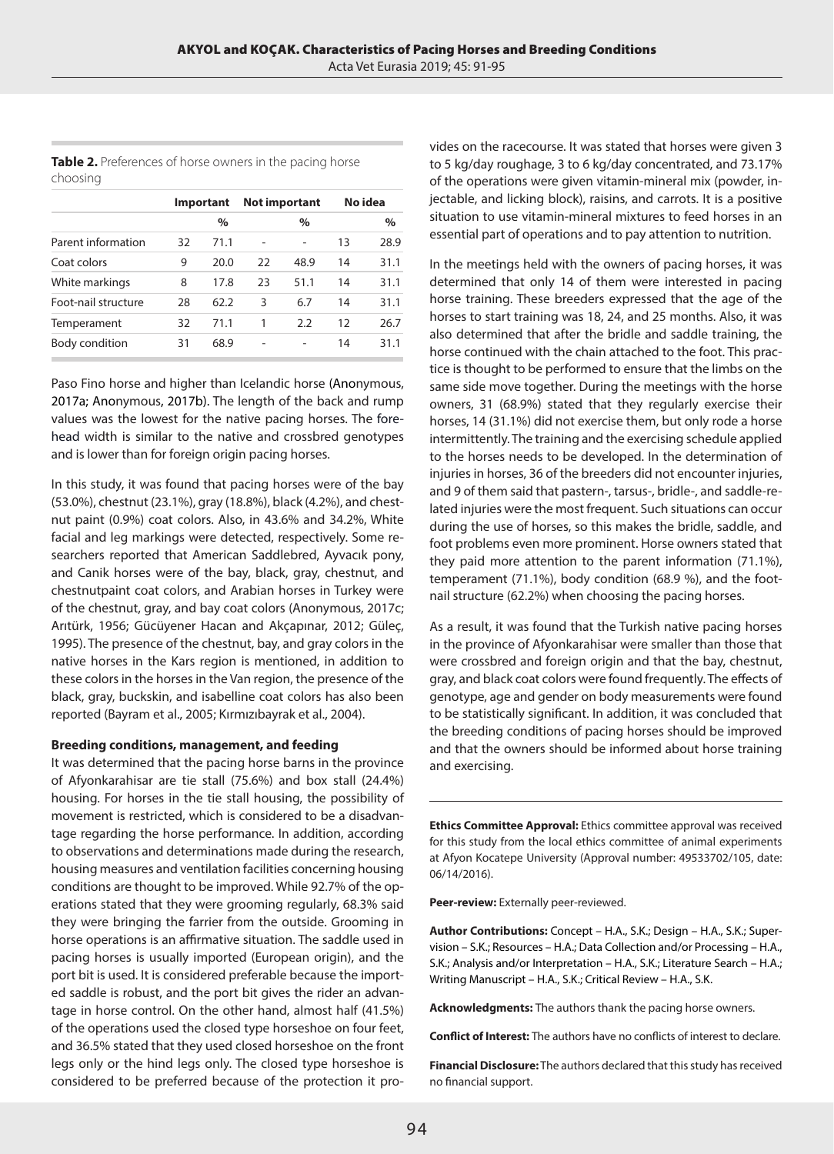**Table 2.** Preferences of horse owners in the pacing horse choosing

|                     | Important |      | <b>Not important</b> |      |    | No idea |  |
|---------------------|-----------|------|----------------------|------|----|---------|--|
|                     |           | $\%$ |                      | $\%$ |    | $\%$    |  |
| Parent information  | 32        | 71.1 |                      |      | 13 | 28.9    |  |
| Coat colors         | 9         | 20.0 | 22                   | 48.9 | 14 | 31.1    |  |
| White markings      | 8         | 17.8 | 23                   | 51.1 | 14 | 31.1    |  |
| Foot-nail structure | 28        | 62.2 | 3                    | 6.7  | 14 | 31.1    |  |
| Temperament         | 32        | 71.1 | 1                    | 2.2  | 12 | 26.7    |  |
| Body condition      | 31        | 68.9 |                      |      | 14 | 31.1    |  |

Paso Fino horse and higher than Icelandic horse (Anonymous, 2017a; Anonymous, 2017b). The length of the back and rump values was the lowest for the native pacing horses. The forehead width is similar to the native and crossbred genotypes and is lower than for foreign origin pacing horses.

In this study, it was found that pacing horses were of the bay (53.0%), chestnut (23.1%), gray (18.8%), black (4.2%), and chestnut paint (0.9%) coat colors. Also, in 43.6% and 34.2%, White facial and leg markings were detected, respectively. Some researchers reported that American Saddlebred, Ayvacık pony, and Canik horses were of the bay, black, gray, chestnut, and chestnutpaint coat colors, and Arabian horses in Turkey were of the chestnut, gray, and bay coat colors (Anonymous, 2017c; Arıtürk, 1956; Gücüyener Hacan and Akçapınar, 2012; Güleç, 1995). The presence of the chestnut, bay, and gray colors in the native horses in the Kars region is mentioned, in addition to these colors in the horses in the Van region, the presence of the black, gray, buckskin, and isabelline coat colors has also been reported (Bayram et al., 2005; Kırmızıbayrak et al., 2004).

#### **Breeding conditions, management, and feeding**

It was determined that the pacing horse barns in the province of Afyonkarahisar are tie stall (75.6%) and box stall (24.4%) housing. For horses in the tie stall housing, the possibility of movement is restricted, which is considered to be a disadvantage regarding the horse performance. In addition, according to observations and determinations made during the research, housing measures and ventilation facilities concerning housing conditions are thought to be improved. While 92.7% of the operations stated that they were grooming regularly, 68.3% said they were bringing the farrier from the outside. Grooming in horse operations is an affirmative situation. The saddle used in pacing horses is usually imported (European origin), and the port bit is used. It is considered preferable because the imported saddle is robust, and the port bit gives the rider an advantage in horse control. On the other hand, almost half (41.5%) of the operations used the closed type horseshoe on four feet, and 36.5% stated that they used closed horseshoe on the front legs only or the hind legs only. The closed type horseshoe is considered to be preferred because of the protection it provides on the racecourse. It was stated that horses were given 3 to 5 kg/day roughage, 3 to 6 kg/day concentrated, and 73.17% of the operations were given vitamin-mineral mix (powder, injectable, and licking block), raisins, and carrots. It is a positive situation to use vitamin-mineral mixtures to feed horses in an essential part of operations and to pay attention to nutrition.

In the meetings held with the owners of pacing horses, it was determined that only 14 of them were interested in pacing horse training. These breeders expressed that the age of the horses to start training was 18, 24, and 25 months. Also, it was also determined that after the bridle and saddle training, the horse continued with the chain attached to the foot. This practice is thought to be performed to ensure that the limbs on the same side move together. During the meetings with the horse owners, 31 (68.9%) stated that they regularly exercise their horses, 14 (31.1%) did not exercise them, but only rode a horse intermittently. The training and the exercising schedule applied to the horses needs to be developed. In the determination of injuries in horses, 36 of the breeders did not encounter injuries, and 9 of them said that pastern-, tarsus-, bridle-, and saddle-related injuries were the most frequent. Such situations can occur during the use of horses, so this makes the bridle, saddle, and foot problems even more prominent. Horse owners stated that they paid more attention to the parent information (71.1%), temperament (71.1%), body condition (68.9 %), and the footnail structure (62.2%) when choosing the pacing horses.

As a result, it was found that the Turkish native pacing horses in the province of Afyonkarahisar were smaller than those that were crossbred and foreign origin and that the bay, chestnut, gray, and black coat colors were found frequently. The effects of genotype, age and gender on body measurements were found to be statistically significant. In addition, it was concluded that the breeding conditions of pacing horses should be improved and that the owners should be informed about horse training and exercising.

**Ethics Committee Approval:** Ethics committee approval was received for this study from the local ethics committee of animal experiments at Afyon Kocatepe University (Approval number: 49533702/105, date: 06/14/2016).

**Peer-review:** Externally peer-reviewed.

**Author Contributions:** Concept – H.A., S.K.; Design – H.A., S.K.; Supervision – S.K.; Resources – H.A.; Data Collection and/or Processing – H.A., S.K.; Analysis and/or Interpretation – H.A., S.K.; Literature Search – H.A.; Writing Manuscript – H.A., S.K.; Critical Review – H.A., S.K.

**Acknowledgments:** The authors thank the pacing horse owners.

**Conflict of Interest:** The authors have no conflicts of interest to declare.

**Financial Disclosure:** The authors declared that this study has received no financial support.